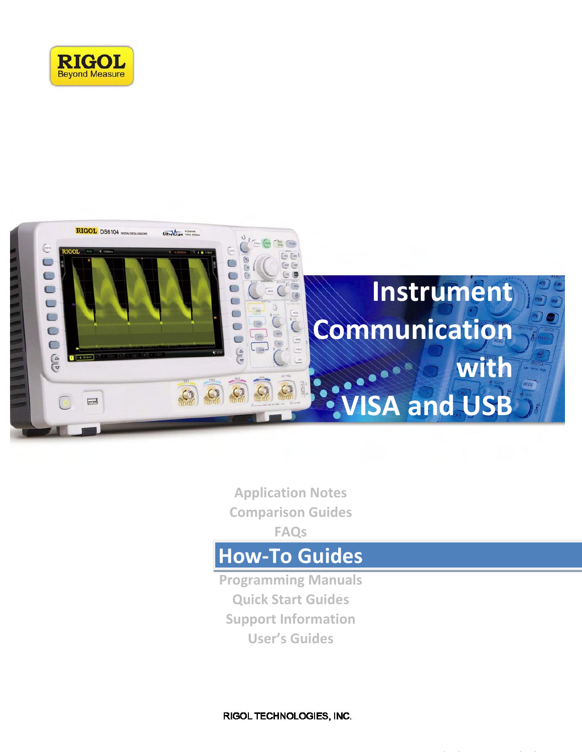



**Application Notes Comparison Guides FAQs**

# **How-To Guides**

**Programming Manuals Quick Start Guides Support Information User's Guides**

RIGOL TECHNOLOGIES, INC.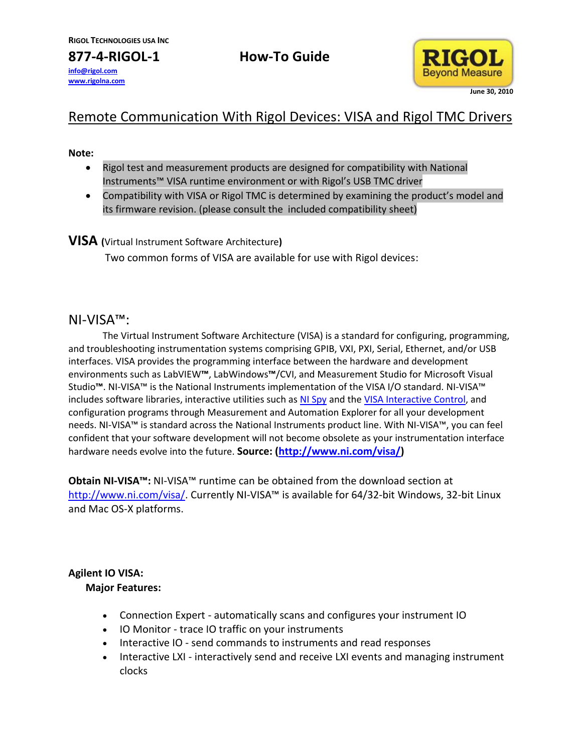**info@rigol.com www.rigolna.com**

**877-4-RIGOL-1 How-To Guide**



## Remote Communication With Rigol Devices: VISA and Rigol TMC Drivers

#### **Note:**

- Rigol test and measurement products are designed for compatibility with National Instruments™ VISA runtime environment or with Rigol's USB TMC driver
- Compatibility with VISA or Rigol TMC is determined by examining the product's model and its firmware revision. (please consult the included compatibility sheet)

#### **VISA (**Virtual Instrument Software Architecture**)**

Two common forms of VISA are available for use with Rigol devices:

### NI-VISA™:

The Virtual Instrument Software Architecture (VISA) is a standard for configuring, programming, and troubleshooting instrumentation systems comprising GPIB, VXI, PXI, Serial, Ethernet, and/or USB interfaces. VISA provides the programming interface between the hardware and development environments such as LabVIEW**™**, LabWindows**™**/CVI, and Measurement Studio for Microsoft Visual Studio**™**. NI-VISA™ is the National Instruments implementation of the VISA I/O standard. NI-VISA™ includes software libraries, interactive utilities such a[s NI Spy](http://www.ni.com/visa/visa_utils.htm) and the [VISA Interactive Control,](http://www.ni.com/visa/visa_utils.htm) and configuration programs through Measurement and Automation Explorer for all your development needs. NI-VISA™ is standard across the National Instruments product line. With NI-VISA™, you can feel confident that your software development will not become obsolete as your instrumentation interface hardware needs evolve into the future. **Source: [\(http://www.ni.com/visa/\)](http://www.ni.com/visa/)**

**Obtain NI-VISA™:** NI-VISA™ runtime can be obtained from the download section at [http://www.ni.com/visa/.](http://www.ni.com/visa/) Currently NI-VISA™ is available for 64/32-bit Windows, 32-bit Linux and Mac OS-X platforms.

#### **Agilent IO VISA:**

#### **Major Features:**

- Connection Expert automatically scans and configures your instrument IO
- IO Monitor trace IO traffic on your instruments
- Interactive IO send commands to instruments and read responses
- Interactive LXI interactively send and receive LXI events and managing instrument clocks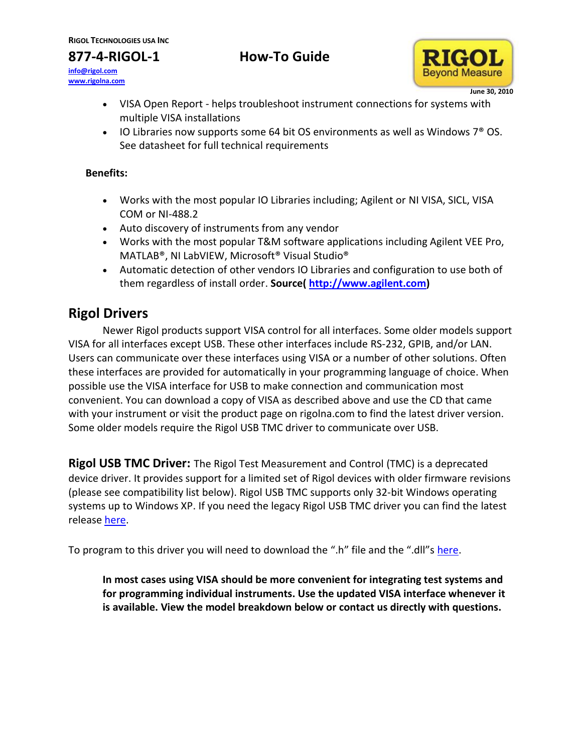## **877-4-RIGOL-1 How-To Guide**

**info@rigol.com www.rigolna.com**



- VISA Open Report helps troubleshoot instrument connections for systems with multiple VISA installations
- $\bullet$  IO Libraries now supports some 64 bit OS environments as well as Windows  $7^\circ$  OS. See datasheet for full technical requirements

#### **Benefits:**

- Works with the most popular IO Libraries including; Agilent or NI VISA, SICL, VISA COM or NI-488.2
- Auto discovery of instruments from any vendor
- Works with the most popular T&M software applications including Agilent VEE Pro, MATLAB®, NI LabVIEW, Microsoft® Visual Studio®
- Automatic detection of other vendors IO Libraries and configuration to use both of them regardless of install order. **Source( [http://www.agilent.com\)](http://www.agilent.com/)**

## **Rigol Drivers**

Newer Rigol products support VISA control for all interfaces. Some older models support VISA for all interfaces except USB. These other interfaces include RS-232, GPIB, and/or LAN. Users can communicate over these interfaces using VISA or a number of other solutions. Often these interfaces are provided for automatically in your programming language of choice. When possible use the VISA interface for USB to make connection and communication most convenient. You can download a copy of VISA as described above and use the CD that came with your instrument or visit the product page on rigolna.com to find the latest driver version. Some older models require the Rigol USB TMC driver to communicate over USB.

**Rigol USB TMC Driver:** The Rigol Test Measurement and Control (TMC) is a deprecated device driver. It provides support for a limited set of Rigol devices with older firmware revisions (please see compatibility list below). Rigol USB TMC supports only 32-bit Windows operating systems up to Windows XP. If you need the legacy Rigol USB TMC driver you can find the latest release [here.](http://www.rigol.com/upload/accessory/20102/20102115254755534.rar)

To program to this driver you will need to download the ".h" file and the ".dll"s [here.](http://www.rigol.com/upload/accessory/20102/2010211532482439678.rar)

**In most cases using VISA should be more convenient for integrating test systems and for programming individual instruments. Use the updated VISA interface whenever it is available. View the model breakdown below or contact us directly with questions.**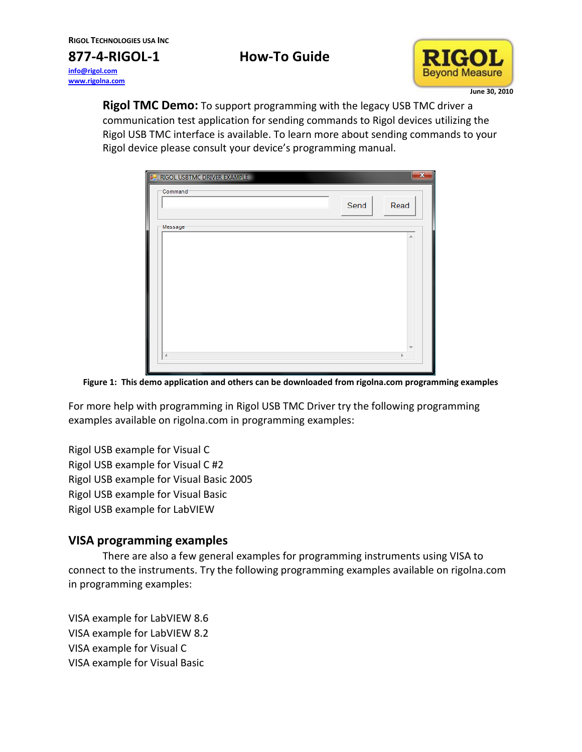**info@rigol.com www.rigolna.com**

**877-4-RIGOL-1 How-To Guide**



**Rigol TMC Demo:** To support programming with the legacy USB TMC driver a communication test application for sending commands to Rigol devices utilizing the Rigol USB TMC interface is available. To learn more about sending commands to your Rigol device please consult your device's programming manual.



**Figure 1: This demo application and others can be downloaded from rigolna.com programming examples**

For more help with programming in Rigol USB TMC Driver try the following programming examples available on rigolna.com in programming examples:

Rigol USB example for Visual C Rigol USB example for Visual C #2 Rigol USB example for Visual Basic 2005 Rigol USB example for Visual Basic Rigol USB example for LabVIEW

### **VISA programming examples**

There are also a few general examples for programming instruments using VISA to connect to the instruments. Try the following programming examples available on rigolna.com in programming examples:

VISA example for LabVIEW 8.6 VISA example for LabVIEW 8.2 VISA example for Visual C VISA example for Visual Basic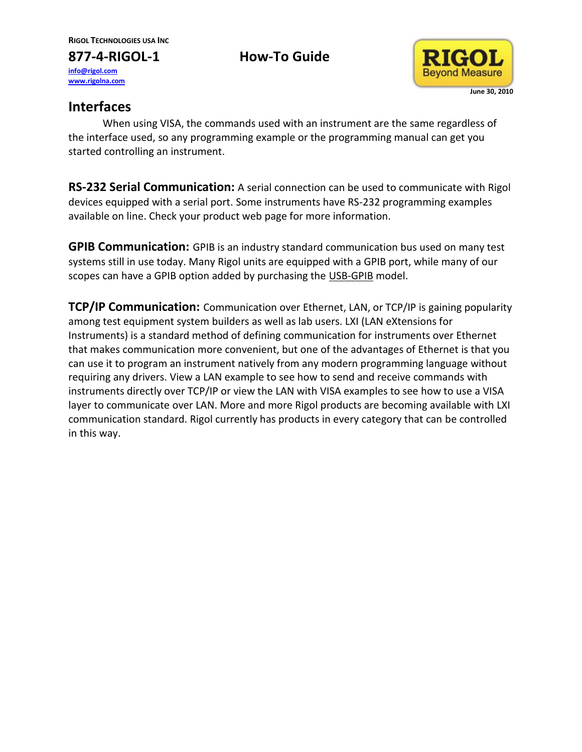**877-4-RIGOL-1 How-To Guide info@rigol.com www.rigolna.com**



## **Interfaces**

When using VISA, the commands used with an instrument are the same regardless of the interface used, so any programming example or the programming manual can get you started controlling an instrument.

**RS-232 Serial Communication:** A serial connection can be used to communicate with Rigol devices equipped with a serial port. Some instruments have RS-232 programming examples available on line. Check your product web page for more information.

**GPIB Communication:** GPIB is an industry standard communication bus used on many test systems still in use today. Many Rigol units are equipped with a GPIB port, while many of our scopes can have a GPIB option added by purchasing the USB-GPIB model.

**TCP/IP Communication:** Communication over Ethernet, LAN, or TCP/IP is gaining popularity among test equipment system builders as well as lab users. LXI (LAN eXtensions for Instruments) is a standard method of defining communication for instruments over Ethernet that makes communication more convenient, but one of the advantages of Ethernet is that you can use it to program an instrument natively from any modern programming language without requiring any drivers. View a LAN example to see how to send and receive commands with instruments directly over TCP/IP or view the LAN with VISA examples to see how to use a VISA layer to communicate over LAN. More and more Rigol products are becoming available with LXI communication standard. Rigol currently has products in every category that can be controlled in this way.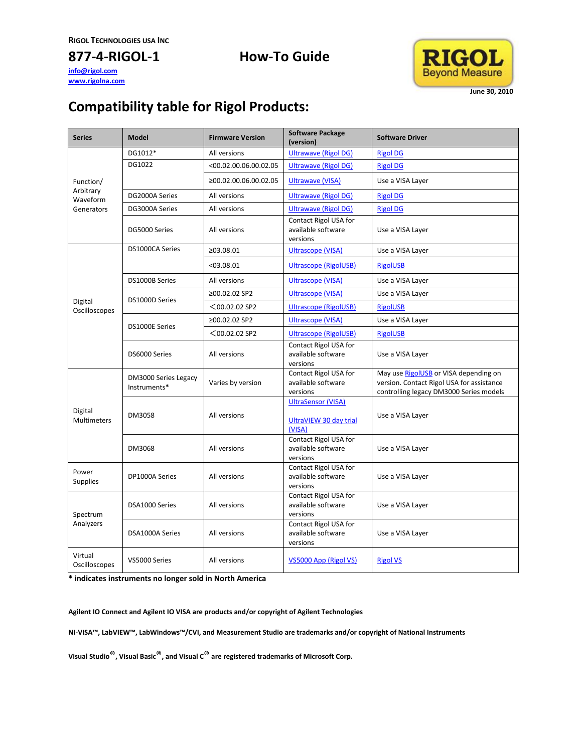#### **info@rigol.com www.rigolna.com**

## **877-4-RIGOL-1 How-To Guide**



## **Compatibility table for Rigol Products:**

| <b>Series</b>                                    | <b>Model</b>                         | <b>Firmware Version</b>  | <b>Software Package</b><br>(version)                          | <b>Software Driver</b>                                                                                                        |
|--------------------------------------------------|--------------------------------------|--------------------------|---------------------------------------------------------------|-------------------------------------------------------------------------------------------------------------------------------|
| Function/<br>Arbitrary<br>Waveform<br>Generators | DG1012*                              | All versions             | <b>Ultrawave (Rigol DG)</b>                                   | <b>Rigol DG</b>                                                                                                               |
|                                                  | DG1022                               | $<$ 00.02.00.06.00.02.05 | <b>Ultrawave (Rigol DG)</b>                                   | <b>Rigol DG</b>                                                                                                               |
|                                                  |                                      | ≥00.02.00.06.00.02.05    | <b>Ultrawave (VISA)</b>                                       | Use a VISA Layer                                                                                                              |
|                                                  | DG2000A Series                       | All versions             | <b>Ultrawave (Rigol DG)</b>                                   | <b>Rigol DG</b>                                                                                                               |
|                                                  | DG3000A Series                       | All versions             | <b>Ultrawave (Rigol DG)</b>                                   | <b>Rigol DG</b>                                                                                                               |
|                                                  | DG5000 Series                        | All versions             | Contact Rigol USA for<br>available software<br>versions       | Use a VISA Layer                                                                                                              |
| Digital<br>Oscilloscopes                         | DS1000CA Series                      | ≥03.08.01                | <b>Ultrascope (VISA)</b>                                      | Use a VISA Layer                                                                                                              |
|                                                  |                                      | < 03.08.01               | <b>Ultrascope (RigolUSB)</b>                                  | <b>RigolUSB</b>                                                                                                               |
|                                                  | DS1000B Series                       | All versions             | <b>Ultrascope (VISA)</b>                                      | Use a VISA Layer                                                                                                              |
|                                                  | DS1000D Series                       | ≥00.02.02 SP2            | <b>Ultrascope (VISA)</b>                                      | Use a VISA Layer                                                                                                              |
|                                                  |                                      | $<$ 00.02.02 SP2         | <b>Ultrascope (RigolUSB)</b>                                  | <b>RigolUSB</b>                                                                                                               |
|                                                  | DS1000E Series                       | ≥00.02.02 SP2            | <b>Ultrascope (VISA)</b>                                      | Use a VISA Layer                                                                                                              |
|                                                  |                                      | $<$ 00.02.02 SP2         | <b>Ultrascope (RigolUSB)</b>                                  | <b>RigolUSB</b>                                                                                                               |
|                                                  | DS6000 Series                        | All versions             | Contact Rigol USA for<br>available software<br>versions       | Use a VISA Layer                                                                                                              |
| Digital<br><b>Multimeters</b>                    | DM3000 Series Legacy<br>Instruments* | Varies by version        | Contact Rigol USA for<br>available software<br>versions       | May use RigolUSB or VISA depending on<br>version. Contact Rigol USA for assistance<br>controlling legacy DM3000 Series models |
|                                                  | DM3058                               | All versions             | <b>UltraSensor (VISA)</b><br>UltraVIEW 30 day trial<br>(VISA) | Use a VISA Layer                                                                                                              |
|                                                  | DM3068                               | All versions             | Contact Rigol USA for<br>available software<br>versions       | Use a VISA Layer                                                                                                              |
| Power<br><b>Supplies</b>                         | DP1000A Series                       | All versions             | Contact Rigol USA for<br>available software<br>versions       | Use a VISA Layer                                                                                                              |
| Spectrum<br>Analyzers                            | DSA1000 Series                       | All versions             | Contact Rigol USA for<br>available software<br>versions       | Use a VISA Layer                                                                                                              |
|                                                  | DSA1000A Series                      | All versions             | Contact Rigol USA for<br>available software<br>versions       | Use a VISA Layer                                                                                                              |
| Virtual<br>Oscilloscopes                         | VS5000 Series                        | All versions             | VS5000 App (Rigol VS)                                         | <b>Rigol VS</b>                                                                                                               |

**\* indicates instruments no longer sold in North America**

**Agilent IO Connect and Agilent IO VISA are products and/or copyright of Agilent Technologies**

**NI-VISA™, LabVIEW™, LabWindows™/CVI, and Measurement Studio are trademarks and/or copyright of National Instruments**

**Visual Studio**®**, Visual Basic**®**, and Visual C**® **are registered trademarks of Microsoft Corp.**